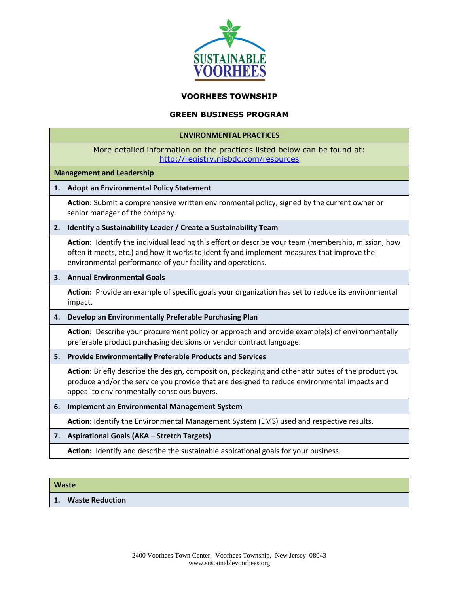

#### **VOORHEES TOWNSHIP**

## **GREEN BUSINESS PROGRAM**

#### **ENVIRONMENTAL PRACTICES**

| More detailed information on the practices listed below can be found at: |
|--------------------------------------------------------------------------|
| http://registry.njsbdc.com/resources                                     |

#### **Management and Leadership**

#### **1. Adopt an Environmental Policy Statement**

**Action:** Submit a comprehensive written environmental policy, signed by the current owner or senior manager of the company.

#### **2. Identify a Sustainability Leader / Create a Sustainability Team**

**Action:** Identify the individual leading this effort or describe your team (membership, mission, how often it meets, etc.) and how it works to identify and implement measures that improve the environmental performance of your facility and operations.

#### **3. Annual Environmental Goals**

**Action:** Provide an example of specific goals your organization has set to reduce its environmental impact.

#### **4. Develop an Environmentally Preferable Purchasing Plan**

**Action:** Describe your procurement policy or approach and provide example(s) of environmentally preferable product purchasing decisions or vendor contract language.

#### **5. Provide Environmentally Preferable Products and Services**

**Action:** Briefly describe the design, composition, packaging and other attributes of the product you produce and/or the service you provide that are designed to reduce environmental impacts and appeal to environmentally-conscious buyers.

**6. Implement an Environmental Management System**

**Action:** Identify the Environmental Management System (EMS) used and respective results.

#### **7. Aspirational Goals (AKA – Stretch Targets)**

**Action:** Identify and describe the sustainable aspirational goals for your business.

#### **Waste**

#### **1. Waste Reduction**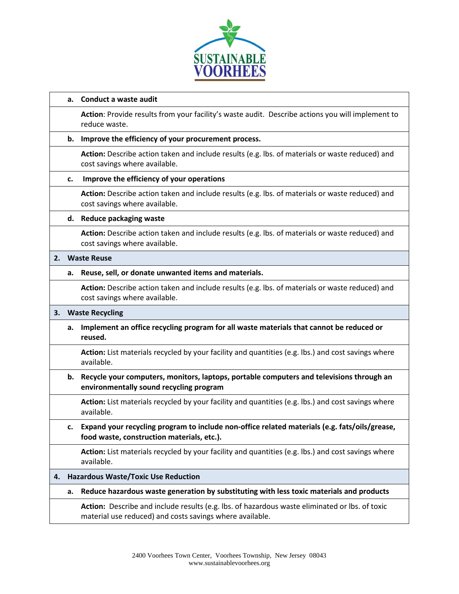

## **a. Conduct a waste audit**

**Action**: Provide results from your facility's waste audit. Describe actions you will implement to reduce waste.

## **b. Improve the efficiency of your procurement process.**

**Action:** Describe action taken and include results (e.g. lbs. of materials or waste reduced) and cost savings where available.

## **c. Improve the efficiency of your operations**

**Action:** Describe action taken and include results (e.g. lbs. of materials or waste reduced) and cost savings where available.

## **d. Reduce packaging waste**

**Action:** Describe action taken and include results (e.g. lbs. of materials or waste reduced) and cost savings where available.

## **2. Waste Reuse**

## **a. Reuse, sell, or donate unwanted items and materials.**

**Action:** Describe action taken and include results (e.g. lbs. of materials or waste reduced) and cost savings where available.

# **3. Waste Recycling**

**a. Implement an office recycling program for all waste materials that cannot be reduced or reused.**

**Action:** List materials recycled by your facility and quantities (e.g. lbs.) and cost savings where available.

**b. Recycle your computers, monitors, laptops, portable computers and televisions through an environmentally sound recycling program**

**Action:** List materials recycled by your facility and quantities (e.g. lbs.) and cost savings where available.

**c. Expand your recycling program to include non-office related materials (e.g. fats/oils/grease, food waste, construction materials, etc.).**

**Action:** List materials recycled by your facility and quantities (e.g. lbs.) and cost savings where available.

# **4. Hazardous Waste/Toxic Use Reduction**

**a. Reduce hazardous waste generation by substituting with less toxic materials and products**

**Action:** Describe and include results (e.g. lbs. of hazardous waste eliminated or lbs. of toxic material use reduced) and costs savings where available.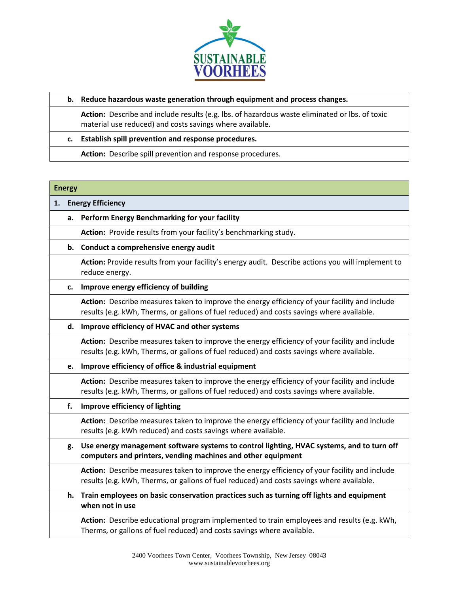

## **b. Reduce hazardous waste generation through equipment and process changes.**

**Action:** Describe and include results (e.g. lbs. of hazardous waste eliminated or lbs. of toxic material use reduced) and costs savings where available.

## **c. Establish spill prevention and response procedures.**

**Action:** Describe spill prevention and response procedures.

#### **Energy**

## **1. Energy Efficiency**

# **a. Perform Energy [Benchmarking](http://www.njcleanenergy.com/commercial-industrial/programs/benchmarking/energy-benchmarking-home) for your facility**

**Action:** Provide results from your facility's benchmarking study.

## **b. Conduct a comprehensive energy audit**

**Action:** Provide results from your facility's energy audit. Describe actions you will implement to reduce energy.

# **c. Improve energy efficiency of building**

**Action:** Describe measures taken to improve the energy efficiency of your facility and include results (e.g. kWh, Therms, or gallons of fuel reduced) and costs savings where available.

#### **d. Improve efficiency of HVAC and other systems**

**Action:** Describe measures taken to improve the energy efficiency of your facility and include results (e.g. kWh, Therms, or gallons of fuel reduced) and costs savings where available.

#### **e. Improve efficiency of office & industrial equipment**

**Action:** Describe measures taken to improve the energy efficiency of your facility and include results (e.g. kWh, Therms, or gallons of fuel reduced) and costs savings where available.

# **f. Improve efficiency of lighting**

**Action:** Describe measures taken to improve the energy efficiency of your facility and include results (e.g. kWh reduced) and costs savings where available.

**g. Use energy management software systems to control lighting, HVAC systems, and to turn off computers and printers, vending machines and other equipment**

**Action:** Describe measures taken to improve the energy efficiency of your facility and include results (e.g. kWh, Therms, or gallons of fuel reduced) and costs savings where available.

**h. Train employees on basic conservation practices such as turning off lights and equipment when not in use**

**Action:** Describe educational program implemented to train employees and results (e.g. kWh, Therms, or gallons of fuel reduced) and costs savings where available.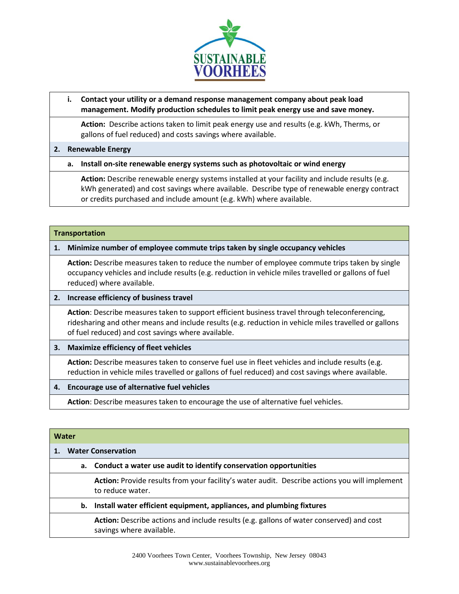

# **i. Contact your utility or a demand response management company about peak load management. Modify production schedules to limit peak energy use and save money.**

**Action:** Describe actions taken to limit peak energy use and results (e.g. kWh, Therms, or gallons of fuel reduced) and costs savings where available.

# **2. Renewable Energy**

# **a. Install on-site renewable energy systems such as photovoltaic or wind energy**

**Action:** Describe renewable energy systems installed at your facility and include results (e.g. kWh generated) and cost savings where available. Describe type of renewable energy contract or credits purchased and include amount (e.g. kWh) where available.

# **Transportation**

# **1. Minimize number of employee commute trips taken by single occupancy vehicles**

**Action:** Describe measures taken to reduce the number of employee commute trips taken by single occupancy vehicles and include results (e.g. reduction in vehicle miles travelled or gallons of fuel reduced) where available.

# **2. Increase efficiency of business travel**

**Action**: Describe measures taken to support efficient business travel through teleconferencing, ridesharing and other means and include results (e.g. reduction in vehicle miles travelled or gallons of fuel reduced) and cost savings where available.

# **3. Maximize efficiency of fleet vehicles**

**Action:** Describe measures taken to conserve fuel use in fleet vehicles and include results (e.g. reduction in vehicle miles travelled or gallons of fuel reduced) and cost savings where available.

# **4. Encourage use of alternative fuel vehicles**

**Action**: Describe measures taken to encourage the use of alternative fuel vehicles.

| <b>Water</b> |                           |                                                                                                                     |  |  |  |
|--------------|---------------------------|---------------------------------------------------------------------------------------------------------------------|--|--|--|
|              | <b>Water Conservation</b> |                                                                                                                     |  |  |  |
|              |                           | a. Conduct a water use audit to identify conservation opportunities                                                 |  |  |  |
|              |                           | Action: Provide results from your facility's water audit. Describe actions you will implement<br>to reduce water.   |  |  |  |
|              | b.                        | Install water efficient equipment, appliances, and plumbing fixtures                                                |  |  |  |
|              |                           | Action: Describe actions and include results (e.g. gallons of water conserved) and cost<br>savings where available. |  |  |  |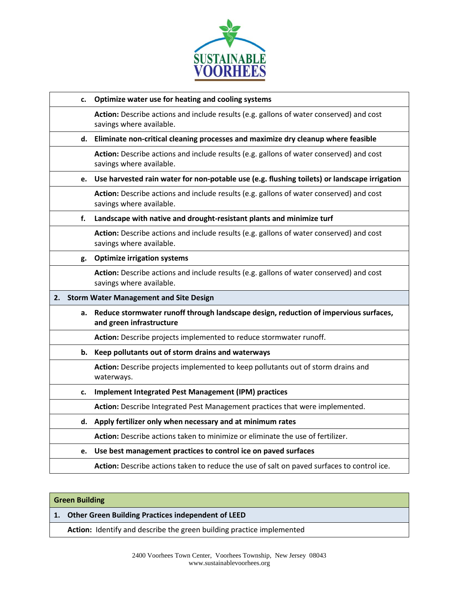

| c. | Optimize water use for heating and cooling systems                                                                  |
|----|---------------------------------------------------------------------------------------------------------------------|
|    | Action: Describe actions and include results (e.g. gallons of water conserved) and cost<br>savings where available. |
|    | d. Eliminate non-critical cleaning processes and maximize dry cleanup where feasible                                |
|    | Action: Describe actions and include results (e.g. gallons of water conserved) and cost<br>savings where available. |
| e. | Use harvested rain water for non-potable use (e.g. flushing toilets) or landscape irrigation                        |
|    | Action: Describe actions and include results (e.g. gallons of water conserved) and cost<br>savings where available. |
| f. | Landscape with native and drought-resistant plants and minimize turf                                                |
|    | Action: Describe actions and include results (e.g. gallons of water conserved) and cost<br>savings where available. |
| g. | <b>Optimize irrigation systems</b>                                                                                  |
|    | Action: Describe actions and include results (e.g. gallons of water conserved) and cost<br>savings where available. |
| 2. | <b>Storm Water Management and Site Design</b>                                                                       |
|    |                                                                                                                     |
| a. | Reduce stormwater runoff through landscape design, reduction of impervious surfaces,<br>and green infrastructure    |
|    | Action: Describe projects implemented to reduce stormwater runoff.                                                  |
|    | b. Keep pollutants out of storm drains and waterways                                                                |
|    | Action: Describe projects implemented to keep pollutants out of storm drains and<br>waterways.                      |
| c. | <b>Implement Integrated Pest Management (IPM) practices</b>                                                         |
|    | Action: Describe Integrated Pest Management practices that were implemented.                                        |
| d. | Apply fertilizer only when necessary and at minimum rates                                                           |
|    | Action: Describe actions taken to minimize or eliminate the use of fertilizer.                                      |
| e. | Use best management practices to control ice on paved surfaces                                                      |

# **Green Building**

**1. Other Green Building Practices independent of LEED**

**Action:** Identify and describe the green building practice implemented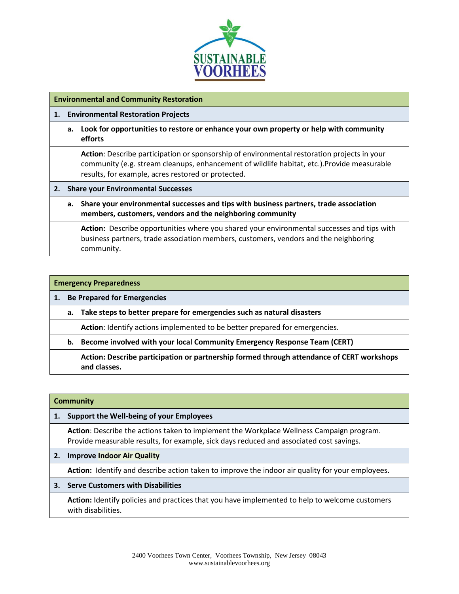

## **Environmental and Community Restoration**

## **1. Environmental Restoration Projects**

**a. Look for opportunities to restore or enhance your own property or help with community efforts**

**Action**: Describe participation or sponsorship of environmental restoration projects in your community (e.g. stream cleanups, enhancement of wildlife habitat, etc.).Provide measurable results, for example, acres restored or protected.

#### **2. Share your Environmental Successes**

**a. Share your environmental successes and tips with business partners, trade association members, customers, vendors and the neighboring community**

**Action:** Describe opportunities where you shared your environmental successes and tips with business partners, trade association members, customers, vendors and the neighboring community.

| <b>Emergency Preparedness</b> |                                    |                                                                                                           |  |  |
|-------------------------------|------------------------------------|-----------------------------------------------------------------------------------------------------------|--|--|
|                               | <b>Be Prepared for Emergencies</b> |                                                                                                           |  |  |
|                               | a.                                 | Take steps to better prepare for emergencies such as natural disasters                                    |  |  |
|                               |                                    | Action: Identify actions implemented to be better prepared for emergencies.                               |  |  |
|                               | b.                                 | Become involved with your local Community Emergency Response Team (CERT)                                  |  |  |
|                               |                                    | Action: Describe participation or partnership formed through attendance of CERT workshops<br>and classes. |  |  |

| <b>Community</b> |                                                                                                                                                                                     |  |  |  |
|------------------|-------------------------------------------------------------------------------------------------------------------------------------------------------------------------------------|--|--|--|
| 1.               | Support the Well-being of your Employees                                                                                                                                            |  |  |  |
|                  | Action: Describe the actions taken to implement the Workplace Wellness Campaign program.<br>Provide measurable results, for example, sick days reduced and associated cost savings. |  |  |  |
| 2.               | <b>Improve Indoor Air Quality</b>                                                                                                                                                   |  |  |  |
|                  | <b>Action:</b> Identify and describe action taken to improve the indoor air quality for your employees.                                                                             |  |  |  |
| 3.               | <b>Serve Customers with Disabilities</b>                                                                                                                                            |  |  |  |
|                  | <b>Action:</b> Identify policies and practices that you have implemented to help to welcome customers                                                                               |  |  |  |

with disabilities.